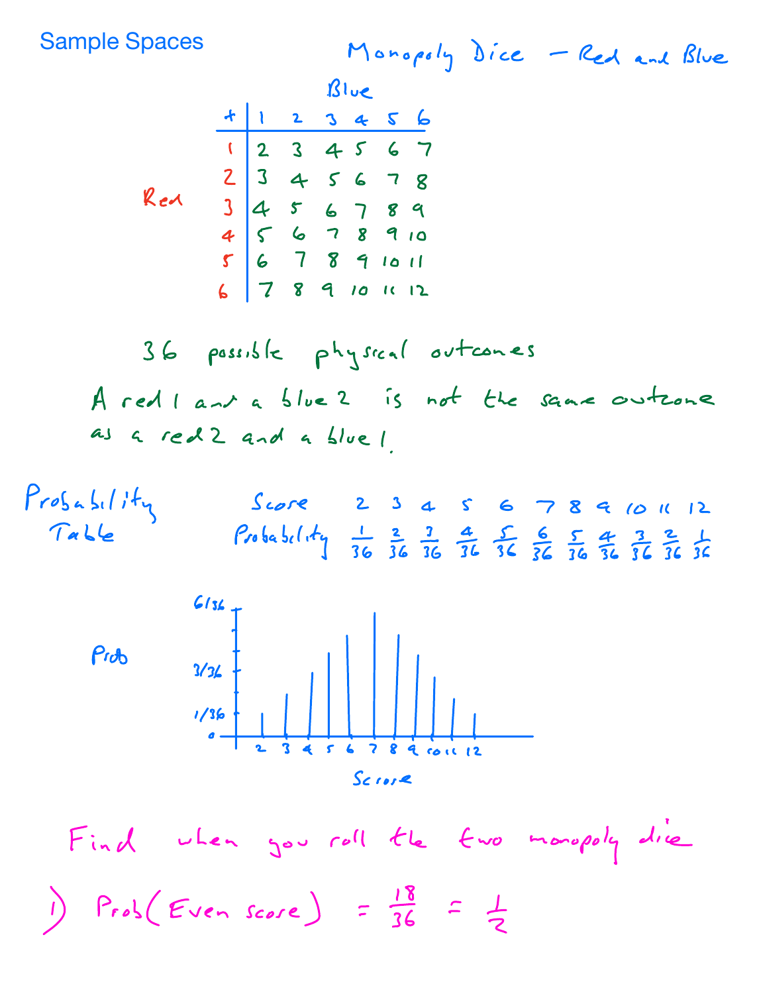Sample Spaces

Monopoly Dice Red and Blue

 $B\cup C$ 

|     | + 1 2 3 4 5 6                                                     |  |  |  |
|-----|-------------------------------------------------------------------|--|--|--|
| Red |                                                                   |  |  |  |
|     |                                                                   |  |  |  |
|     |                                                                   |  |  |  |
|     |                                                                   |  |  |  |
|     |                                                                   |  |  |  |
|     | 1234567<br>2345678<br>3456789<br>3456789<br>67891011<br>567891011 |  |  |  |

36 possible physical outcomes A red <sup>i</sup> and <sup>a</sup> blue <sup>2</sup> is not the same outcome as <sup>a</sup> red 2 and <sup>a</sup> blue 1





Find when you roll the two monopoly dire 1)  $Prob(Even \text{ score}) = \frac{18}{36} = \frac{1}{2}$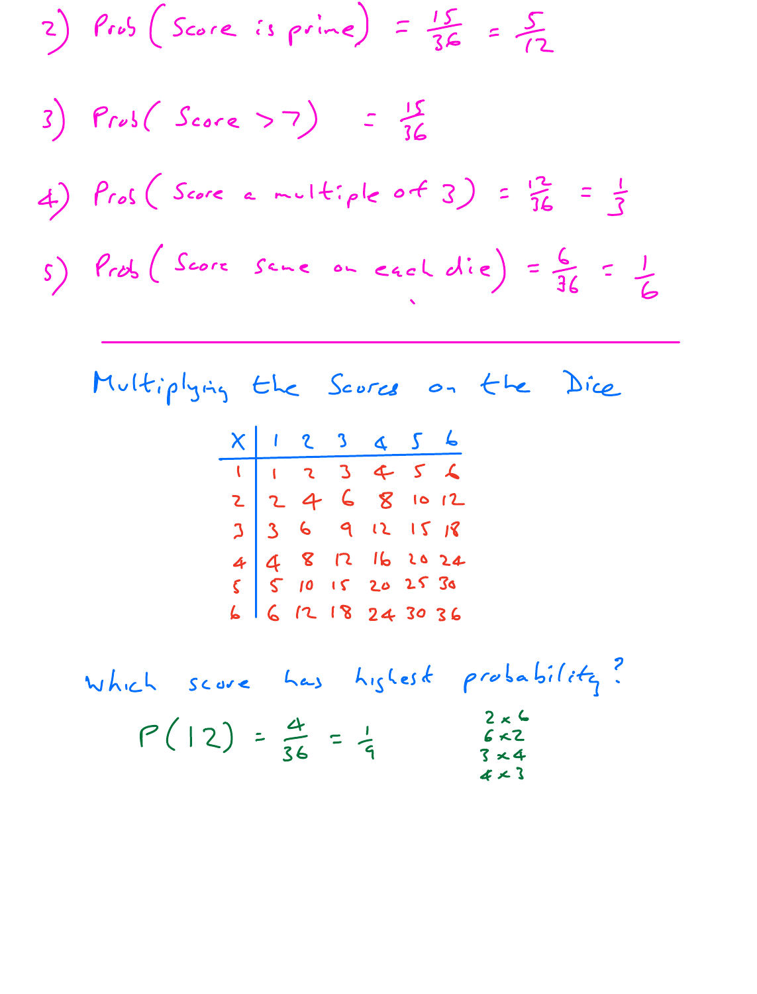$2)$  Pros (Score is prime) =  $\frac{15}{36}$  =  $\frac{5}{12}$ 3)  $Prob(Score > 7) = \frac{15}{36}$ 4)  $Proof(Score \ a \ multiple \ of \ 3) = \frac{12}{36} = \frac{1}{3}$  $s$ ) Prob (Score scne on each die) =  $\frac{6}{36}$  =  $\frac{1}{6}$ 

Multiplying the Scores on the Dice

|  |  | $X$ 1 2 3 4 5 6                                                                                                       |  |
|--|--|-----------------------------------------------------------------------------------------------------------------------|--|
|  |  |                                                                                                                       |  |
|  |  |                                                                                                                       |  |
|  |  |                                                                                                                       |  |
|  |  |                                                                                                                       |  |
|  |  |                                                                                                                       |  |
|  |  | 1 1 2 3 4 5 6<br>2 2 4 6 8 10 12<br>3 3 6 9 12 15 18<br>4 4 8 12 16 20 24<br>5 6 12 18 20 25 30<br>6 6 12 18 24 30 36 |  |

which score has highest probability?  $2 \times 6$ <br> $6 \times 2$  $P(12) = \frac{4}{36} = \frac{1}{9}$  $3 × 4$  $4 \times 3$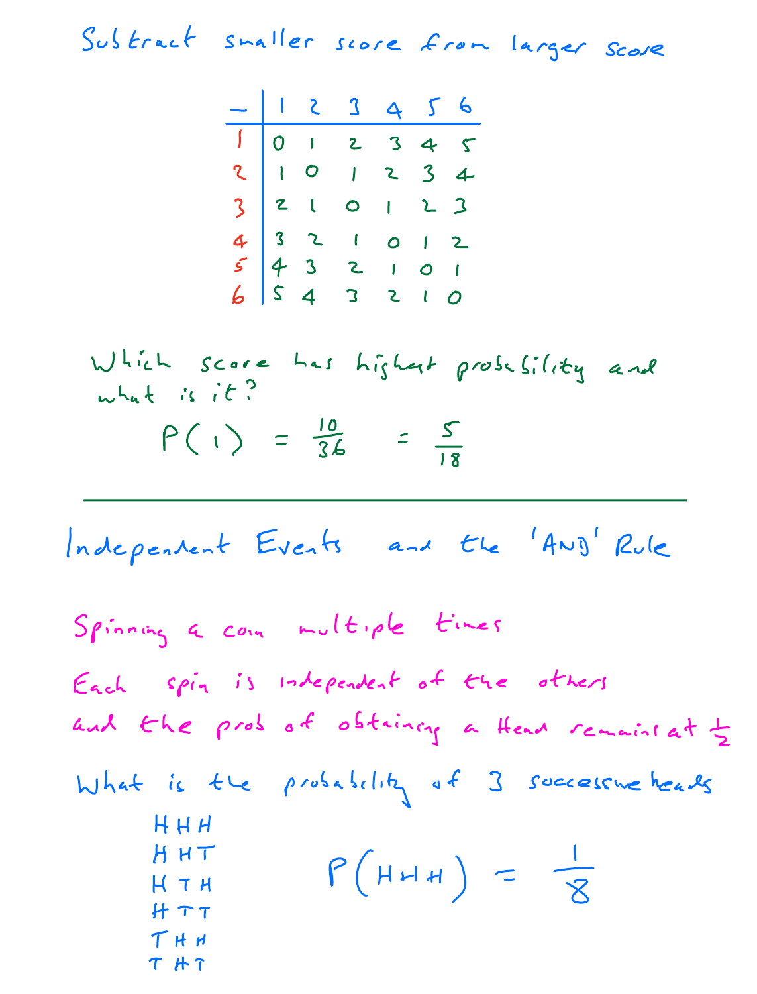Subtract smaller score from larger score

$$
\begin{array}{c|cccccccc}\n-123456 \\
\hline\n1012345 \\
21012345 \\
32101234 \\
43210123 \\
6543210\n\end{array}
$$

Which score has highest probability and what is it?  $P(i) = \frac{10}{36} = \frac{5}{18}$ 

Independent Events and the 'Any' Rule

\nSpinning a com multiple times

\nEach spin is independent of the others and the probability a then remained 
$$
\frac{1}{2}
$$

\nWhat is the probability of 3 successive heads

\nHHH

\nHHH

\nHHH

\nHTHTHH

\nTHH

\nTHH

\nTHH

\nTHH

\nTHH